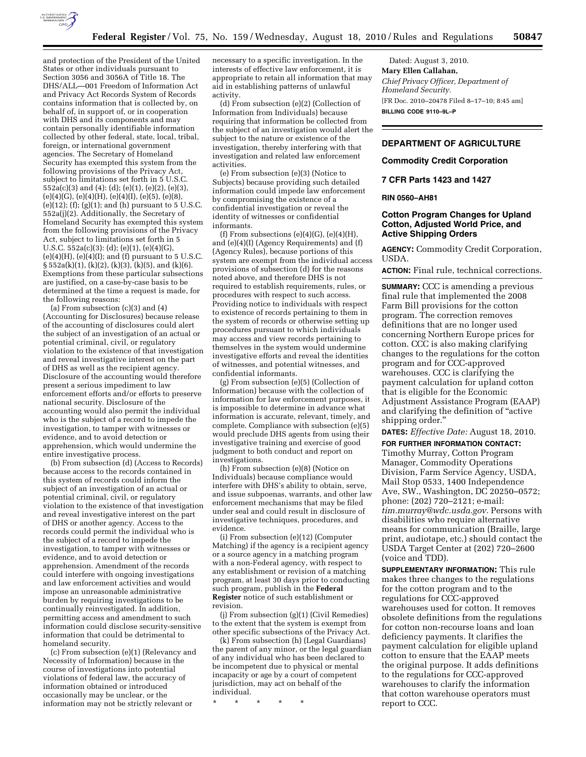

and protection of the President of the United States or other individuals pursuant to Section 3056 and 3056A of Title 18. The DHS/ALL—001 Freedom of Information Act and Privacy Act Records System of Records contains information that is collected by, on behalf of, in support of, or in cooperation with DHS and its components and may contain personally identifiable information collected by other federal, state, local, tribal, foreign, or international government agencies. The Secretary of Homeland Security has exempted this system from the following provisions of the Privacy Act, subject to limitations set forth in 5 U.S.C. 552a(c)(3) and (4): (d); (e)(1), (e)(2), (e)(3),  $(e)(4)(G)$ ,  $(e)(4)(H)$ ,  $(e)(4)(I)$ ,  $(e)(5)$ ,  $(e)(8)$ , (e)(12); (f); (g)(1); and (h) pursuant to 5 U.S.C. 552a(j)(2). Additionally, the Secretary of Homeland Security has exempted this system from the following provisions of the Privacy Act, subject to limitations set forth in 5 U.S.C. 552a(c)(3): (d); (e)(1), (e)(4)(G),  $(e)(4)(H)$ ,  $(e)(4)(I)$ ; and  $(f)$  pursuant to 5 U.S.C.  $\S 552a(k)(1)$ , (k)(2), (k)(3), (k)(5), and (k)(6). Exemptions from these particular subsections are justified, on a case-by-case basis to be determined at the time a request is made, for the following reasons:

(a) From subsection  $(c)(3)$  and  $(4)$ (Accounting for Disclosures) because release of the accounting of disclosures could alert the subject of an investigation of an actual or potential criminal, civil, or regulatory violation to the existence of that investigation and reveal investigative interest on the part of DHS as well as the recipient agency. Disclosure of the accounting would therefore present a serious impediment to law enforcement efforts and/or efforts to preserve national security. Disclosure of the accounting would also permit the individual who is the subject of a record to impede the investigation, to tamper with witnesses or evidence, and to avoid detection or apprehension, which would undermine the entire investigative process.

(b) From subsection (d) (Access to Records) because access to the records contained in this system of records could inform the subject of an investigation of an actual or potential criminal, civil, or regulatory violation to the existence of that investigation and reveal investigative interest on the part of DHS or another agency. Access to the records could permit the individual who is the subject of a record to impede the investigation, to tamper with witnesses or evidence, and to avoid detection or apprehension. Amendment of the records could interfere with ongoing investigations and law enforcement activities and would impose an unreasonable administrative burden by requiring investigations to be continually reinvestigated. In addition, permitting access and amendment to such information could disclose security-sensitive information that could be detrimental to homeland security.

(c) From subsection (e)(1) (Relevancy and Necessity of Information) because in the course of investigations into potential violations of federal law, the accuracy of information obtained or introduced occasionally may be unclear, or the information may not be strictly relevant or

necessary to a specific investigation. In the interests of effective law enforcement, it is appropriate to retain all information that may aid in establishing patterns of unlawful activity.

(d) From subsection (e)(2) (Collection of Information from Individuals) because requiring that information be collected from the subject of an investigation would alert the subject to the nature or existence of the investigation, thereby interfering with that investigation and related law enforcement activities.

(e) From subsection (e)(3) (Notice to Subjects) because providing such detailed information could impede law enforcement by compromising the existence of a confidential investigation or reveal the identity of witnesses or confidential informants.

(f) From subsections  $(e)(4)(G)$ ,  $(e)(4)(H)$ , and (e)(4)(I) (Agency Requirements) and (f) (Agency Rules), because portions of this system are exempt from the individual access provisions of subsection (d) for the reasons noted above, and therefore DHS is not required to establish requirements, rules, or procedures with respect to such access. Providing notice to individuals with respect to existence of records pertaining to them in the system of records or otherwise setting up procedures pursuant to which individuals may access and view records pertaining to themselves in the system would undermine investigative efforts and reveal the identities of witnesses, and potential witnesses, and confidential informants.

(g) From subsection (e)(5) (Collection of Information) because with the collection of information for law enforcement purposes, it is impossible to determine in advance what information is accurate, relevant, timely, and complete. Compliance with subsection (e)(5) would preclude DHS agents from using their investigative training and exercise of good judgment to both conduct and report on investigations.

(h) From subsection (e)(8) (Notice on Individuals) because compliance would interfere with DHS's ability to obtain, serve, and issue subpoenas, warrants, and other law enforcement mechanisms that may be filed under seal and could result in disclosure of investigative techniques, procedures, and evidence.

(i) From subsection (e)(12) (Computer Matching) if the agency is a recipient agency or a source agency in a matching program with a non-Federal agency, with respect to any establishment or revision of a matching program, at least 30 days prior to conducting such program, publish in the **Federal Register** notice of such establishment or revision.

(j) From subsection (g)(1) (Civil Remedies) to the extent that the system is exempt from other specific subsections of the Privacy Act.

(k) From subsection (h) (Legal Guardians) the parent of any minor, or the legal guardian of any individual who has been declared to be incompetent due to physical or mental incapacity or age by a court of competent jurisdiction, may act on behalf of the individual.

\* \* \* \* \*

Dated: August 3, 2010. **Mary Ellen Callahan,**  *Chief Privacy Officer, Department of Homeland Security.*  [FR Doc. 2010–20478 Filed 8–17–10; 8:45 am] **BILLING CODE 9110–9L–P** 

# **DEPARTMENT OF AGRICULTURE**

## **Commodity Credit Corporation**

# **7 CFR Parts 1423 and 1427**

### **RIN 0560–AH81**

# **Cotton Program Changes for Upland Cotton, Adjusted World Price, and Active Shipping Orders**

**AGENCY:** Commodity Credit Corporation, USDA.

**ACTION:** Final rule, technical corrections.

**SUMMARY:** CCC is amending a previous final rule that implemented the 2008 Farm Bill provisions for the cotton program. The correction removes definitions that are no longer used concerning Northern Europe prices for cotton. CCC is also making clarifying changes to the regulations for the cotton program and for CCC-approved warehouses. CCC is clarifying the payment calculation for upland cotton that is eligible for the Economic Adjustment Assistance Program (EAAP) and clarifying the definition of ''active shipping order.''

**DATES:** *Effective Date:* August 18, 2010.

#### **FOR FURTHER INFORMATION CONTACT:**

Timothy Murray, Cotton Program Manager, Commodity Operations Division, Farm Service Agency, USDA, Mail Stop 0533, 1400 Independence Ave, SW., Washington, DC 20250–0572; phone: (202) 720–2121; e-mail: *[tim.murray@wdc.usda.gov.](mailto:tim.murray@wdc.usda.gov)* Persons with disabilities who require alternative means for communication (Braille, large print, audiotape, etc.) should contact the USDA Target Center at (202) 720–2600 (voice and TDD).

**SUPPLEMENTARY INFORMATION:** This rule makes three changes to the regulations for the cotton program and to the regulations for CCC-approved warehouses used for cotton. It removes obsolete definitions from the regulations for cotton non-recourse loans and loan deficiency payments. It clarifies the payment calculation for eligible upland cotton to ensure that the EAAP meets the original purpose. It adds definitions to the regulations for CCC-approved warehouses to clarify the information that cotton warehouse operators must report to CCC.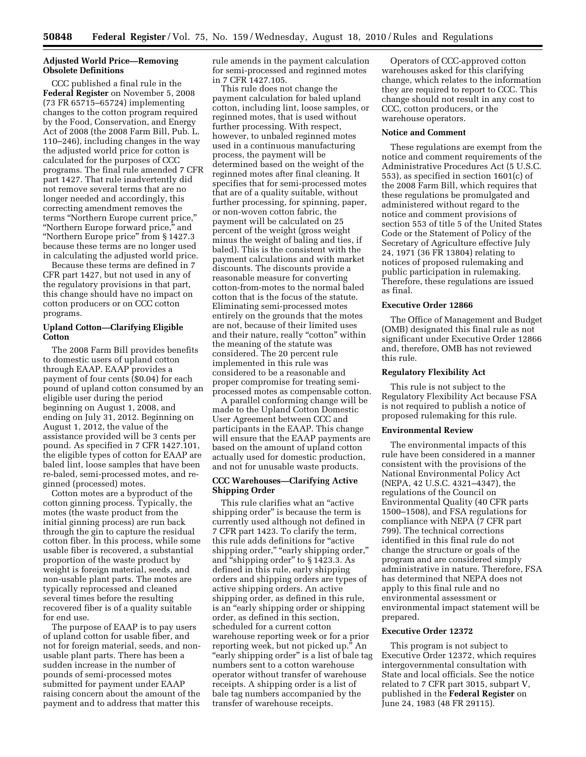# **Adjusted World Price—Removing Obsolete Definitions**

CCC published a final rule in the **Federal Register** on November 5, 2008 (73 FR 65715–65724) implementing changes to the cotton program required by the Food, Conservation, and Energy Act of 2008 (the 2008 Farm Bill, Pub. L. 110–246), including changes in the way the adjusted world price for cotton is calculated for the purposes of CCC programs. The final rule amended 7 CFR part 1427. That rule inadvertently did not remove several terms that are no longer needed and accordingly, this correcting amendment removes the terms ''Northern Europe current price,'' ''Northern Europe forward price,'' and ''Northern Europe price'' from § 1427.3 because these terms are no longer used in calculating the adjusted world price.

Because these terms are defined in 7 CFR part 1427, but not used in any of the regulatory provisions in that part, this change should have no impact on cotton producers or on CCC cotton programs.

## **Upland Cotton—Clarifying Eligible Cotton**

The 2008 Farm Bill provides benefits to domestic users of upland cotton through EAAP. EAAP provides a payment of four cents (\$0.04) for each pound of upland cotton consumed by an eligible user during the period beginning on August 1, 2008, and ending on July 31, 2012. Beginning on August 1, 2012, the value of the assistance provided will be 3 cents per pound. As specified in 7 CFR 1427.101, the eligible types of cotton for EAAP are baled lint, loose samples that have been re-baled, semi-processed motes, and reginned (processed) motes.

Cotton motes are a byproduct of the cotton ginning process. Typically, the motes (the waste product from the initial ginning process) are run back through the gin to capture the residual cotton fiber. In this process, while some usable fiber is recovered, a substantial proportion of the waste product by weight is foreign material, seeds, and non-usable plant parts. The motes are typically reprocessed and cleaned several times before the resulting recovered fiber is of a quality suitable for end use.

The purpose of EAAP is to pay users of upland cotton for usable fiber, and not for foreign material, seeds, and nonusable plant parts. There has been a sudden increase in the number of pounds of semi-processed motes submitted for payment under EAAP raising concern about the amount of the payment and to address that matter this

rule amends in the payment calculation for semi-processed and reginned motes in 7 CFR 1427.105.

This rule does not change the payment calculation for baled upland cotton, including lint, loose samples, or reginned motes, that is used without further processing. With respect, however, to unbaled reginned motes used in a continuous manufacturing process, the payment will be determined based on the weight of the reginned motes after final cleaning. It specifies that for semi-processed motes that are of a quality suitable, without further processing, for spinning, paper, or non-woven cotton fabric, the payment will be calculated on 25 percent of the weight (gross weight minus the weight of baling and ties, if baled). This is the consistent with the payment calculations and with market discounts. The discounts provide a reasonable measure for converting cotton-from-motes to the normal baled cotton that is the focus of the statute. Eliminating semi-processed motes entirely on the grounds that the motes are not, because of their limited uses and their nature, really "cotton" within the meaning of the statute was considered. The 20 percent rule implemented in this rule was considered to be a reasonable and proper compromise for treating semiprocessed motes as compensable cotton.

A parallel conforming change will be made to the Upland Cotton Domestic User Agreement between CCC and participants in the EAAP. This change will ensure that the EAAP payments are based on the amount of upland cotton actually used for domestic production, and not for unusable waste products.

# **CCC Warehouses—Clarifying Active Shipping Order**

This rule clarifies what an ''active shipping order'' is because the term is currently used although not defined in 7 CFR part 1423. To clarify the term, this rule adds definitions for ''active shipping order," "early shipping order," and "shipping order" to §1423.3. As defined in this rule, early shipping orders and shipping orders are types of active shipping orders. An active shipping order, as defined in this rule, is an ''early shipping order or shipping order, as defined in this section, scheduled for a current cotton warehouse reporting week or for a prior reporting week, but not picked up.'' An "early shipping order" is a list of bale tag numbers sent to a cotton warehouse operator without transfer of warehouse receipts. A shipping order is a list of bale tag numbers accompanied by the transfer of warehouse receipts.

Operators of CCC-approved cotton warehouses asked for this clarifying change, which relates to the information they are required to report to CCC. This change should not result in any cost to CCC, cotton producers, or the warehouse operators.

#### **Notice and Comment**

These regulations are exempt from the notice and comment requirements of the Administrative Procedures Act (5 U.S.C. 553), as specified in section 1601(c) of the 2008 Farm Bill, which requires that these regulations be promulgated and administered without regard to the notice and comment provisions of section 553 of title 5 of the United States Code or the Statement of Policy of the Secretary of Agriculture effective July 24, 1971 (36 FR 13804) relating to notices of proposed rulemaking and public participation in rulemaking. Therefore, these regulations are issued as final.

### **Executive Order 12866**

The Office of Management and Budget (OMB) designated this final rule as not significant under Executive Order 12866 and, therefore, OMB has not reviewed this rule.

## **Regulatory Flexibility Act**

This rule is not subject to the Regulatory Flexibility Act because FSA is not required to publish a notice of proposed rulemaking for this rule.

# **Environmental Review**

The environmental impacts of this rule have been considered in a manner consistent with the provisions of the National Environmental Policy Act (NEPA, 42 U.S.C. 4321–4347), the regulations of the Council on Environmental Quality (40 CFR parts 1500–1508), and FSA regulations for compliance with NEPA (7 CFR part 799). The technical corrections identified in this final rule do not change the structure or goals of the program and are considered simply administrative in nature. Therefore, FSA has determined that NEPA does not apply to this final rule and no environmental assessment or environmental impact statement will be prepared.

# **Executive Order 12372**

This program is not subject to Executive Order 12372, which requires intergovernmental consultation with State and local officials. See the notice related to 7 CFR part 3015, subpart V, published in the **Federal Register** on June 24, 1983 (48 FR 29115).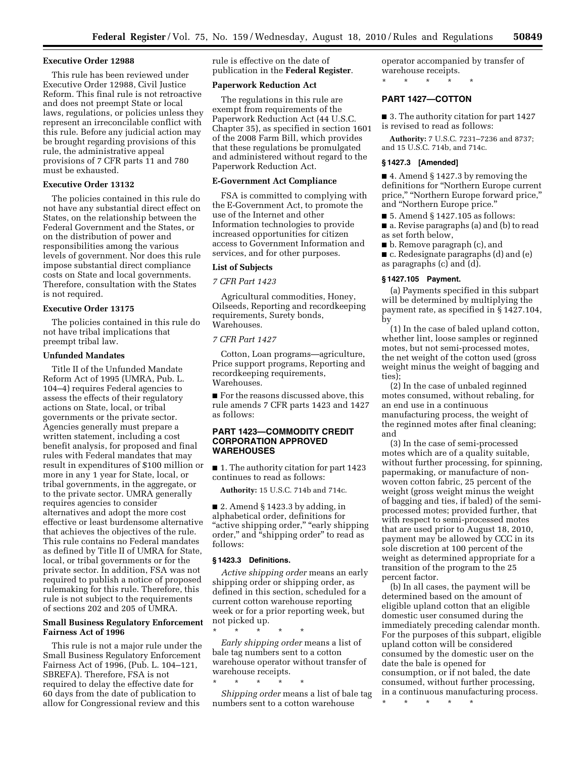## **Executive Order 12988**

This rule has been reviewed under Executive Order 12988, Civil Justice Reform. This final rule is not retroactive and does not preempt State or local laws, regulations, or policies unless they represent an irreconcilable conflict with this rule. Before any judicial action may be brought regarding provisions of this rule, the administrative appeal provisions of 7 CFR parts 11 and 780 must be exhausted.

# **Executive Order 13132**

The policies contained in this rule do not have any substantial direct effect on States, on the relationship between the Federal Government and the States, or on the distribution of power and responsibilities among the various levels of government. Nor does this rule impose substantial direct compliance costs on State and local governments. Therefore, consultation with the States is not required.

### **Executive Order 13175**

The policies contained in this rule do not have tribal implications that preempt tribal law.

#### **Unfunded Mandates**

Title II of the Unfunded Mandate Reform Act of 1995 (UMRA, Pub. L. 104–4) requires Federal agencies to assess the effects of their regulatory actions on State, local, or tribal governments or the private sector. Agencies generally must prepare a written statement, including a cost benefit analysis, for proposed and final rules with Federal mandates that may result in expenditures of \$100 million or more in any 1 year for State, local, or tribal governments, in the aggregate, or to the private sector. UMRA generally requires agencies to consider alternatives and adopt the more cost effective or least burdensome alternative that achieves the objectives of the rule. This rule contains no Federal mandates as defined by Title II of UMRA for State, local, or tribal governments or for the private sector. In addition, FSA was not required to publish a notice of proposed rulemaking for this rule. Therefore, this rule is not subject to the requirements of sections 202 and 205 of UMRA.

## **Small Business Regulatory Enforcement Fairness Act of 1996**

This rule is not a major rule under the Small Business Regulatory Enforcement Fairness Act of 1996, (Pub. L. 104–121, SBREFA). Therefore, FSA is not required to delay the effective date for 60 days from the date of publication to allow for Congressional review and this

rule is effective on the date of publication in the **Federal Register**.

## **Paperwork Reduction Act**

The regulations in this rule are exempt from requirements of the Paperwork Reduction Act (44 U.S.C. Chapter 35), as specified in section 1601 of the 2008 Farm Bill, which provides that these regulations be promulgated and administered without regard to the Paperwork Reduction Act.

#### **E-Government Act Compliance**

FSA is committed to complying with the E-Government Act, to promote the use of the Internet and other Information technologies to provide increased opportunities for citizen access to Government Information and services, and for other purposes.

## **List of Subjects**

*7 CFR Part 1423* 

Agricultural commodities, Honey, Oilseeds, Reporting and recordkeeping requirements, Surety bonds, Warehouses.

#### *7 CFR Part 1427*

Cotton, Loan programs—agriculture, Price support programs, Reporting and recordkeeping requirements, Warehouses.

■ For the reasons discussed above, this rule amends 7 CFR parts 1423 and 1427 as follows:

# **PART 1423—COMMODITY CREDIT CORPORATION APPROVED WAREHOUSES**

■ 1. The authority citation for part 1423 continues to read as follows:

**Authority:** 15 U.S.C. 714b and 714c.

■ 2. Amend § 1423.3 by adding, in alphabetical order, definitions for "active shipping order," "early shipping order,'' and ''shipping order'' to read as follows:

## **§ 1423.3 Definitions.**

\* \* \* \* \*

\* \* \* \* \*

*Active shipping order* means an early shipping order or shipping order, as defined in this section, scheduled for a current cotton warehouse reporting week or for a prior reporting week, but not picked up.

*Early shipping order* means a list of bale tag numbers sent to a cotton warehouse operator without transfer of warehouse receipts.

*Shipping order* means a list of bale tag numbers sent to a cotton warehouse

operator accompanied by transfer of warehouse receipts.

\* \* \* \* \*

# **PART 1427—COTTON**

■ 3. The authority citation for part 1427 is revised to read as follows:

**Authority:** 7 U.S.C. 7231–7236 and 8737; and 15 U.S.C. 714b, and 714c.

#### **§ 1427.3 [Amended]**

■ 4. Amend § 1427.3 by removing the definitions for ''Northern Europe current price," "Northern Europe forward price," and ''Northern Europe price.''

- 5. Amend § 1427.105 as follows:
- a. Revise paragraphs (a) and (b) to read as set forth below,
- b. Remove paragraph (c), and ■ c. Redesignate paragraphs (d) and (e) as paragraphs (c) and (d).

#### **§ 1427.105 Payment.**

(a) Payments specified in this subpart will be determined by multiplying the payment rate, as specified in § 1427.104, by

(1) In the case of baled upland cotton, whether lint, loose samples or reginned motes, but not semi-processed motes, the net weight of the cotton used (gross weight minus the weight of bagging and ties);

(2) In the case of unbaled reginned motes consumed, without rebaling, for an end use in a continuous manufacturing process, the weight of the reginned motes after final cleaning; and

(3) In the case of semi-processed motes which are of a quality suitable, without further processing, for spinning, papermaking, or manufacture of nonwoven cotton fabric, 25 percent of the weight (gross weight minus the weight of bagging and ties, if baled) of the semiprocessed motes; provided further, that with respect to semi-processed motes that are used prior to August 18, 2010, payment may be allowed by CCC in its sole discretion at 100 percent of the weight as determined appropriate for a transition of the program to the 25 percent factor.

(b) In all cases, the payment will be determined based on the amount of eligible upland cotton that an eligible domestic user consumed during the immediately preceding calendar month. For the purposes of this subpart, eligible upland cotton will be considered consumed by the domestic user on the date the bale is opened for consumption, or if not baled, the date consumed, without further processing, in a continuous manufacturing process.

\* \* \* \* \*